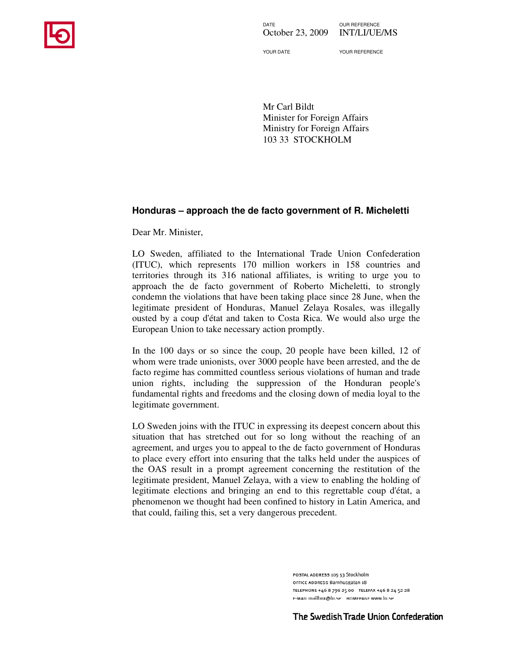

DATE OUR REFERENCE October 23, 2009 INT/LI/UE/MS

YOUR DATE YOUR REFERENCE

Mr Carl Bildt Minister for Foreign Affairs Ministry for Foreign Affairs 103 33 STOCKHOLM

## **Honduras – approach the de facto government of R. Micheletti**

Dear Mr. Minister,

LO Sweden, affiliated to the International Trade Union Confederation (ITUC), which represents 170 million workers in 158 countries and territories through its 316 national affiliates, is writing to urge you to approach the de facto government of Roberto Micheletti, to strongly condemn the violations that have been taking place since 28 June, when the legitimate president of Honduras, Manuel Zelaya Rosales, was illegally ousted by a coup d'état and taken to Costa Rica. We would also urge the European Union to take necessary action promptly.

In the 100 days or so since the coup, 20 people have been killed, 12 of whom were trade unionists, over 3000 people have been arrested, and the de facto regime has committed countless serious violations of human and trade union rights, including the suppression of the Honduran people's fundamental rights and freedoms and the closing down of media loyal to the legitimate government.

LO Sweden joins with the ITUC in expressing its deepest concern about this situation that has stretched out for so long without the reaching of an agreement, and urges you to appeal to the de facto government of Honduras to place every effort into ensuring that the talks held under the auspices of the OAS result in a prompt agreement concerning the restitution of the legitimate president, Manuel Zelaya, with a view to enabling the holding of legitimate elections and bringing an end to this regrettable coup d'état, a phenomenon we thought had been confined to history in Latin America, and that could, failing this, set a very dangerous precedent.

> POSTAL ADDRESS 105 53 Stockholm OFFICE ADDRESS Barnhusgatan 18 TELEPHONE +46 8 796 25 00 TELEFAX +46 8 24 52 28 E-MAIL mailbox@lo.se HOMEPAGE www.lo.se

The Swedish Trade Union Confederation